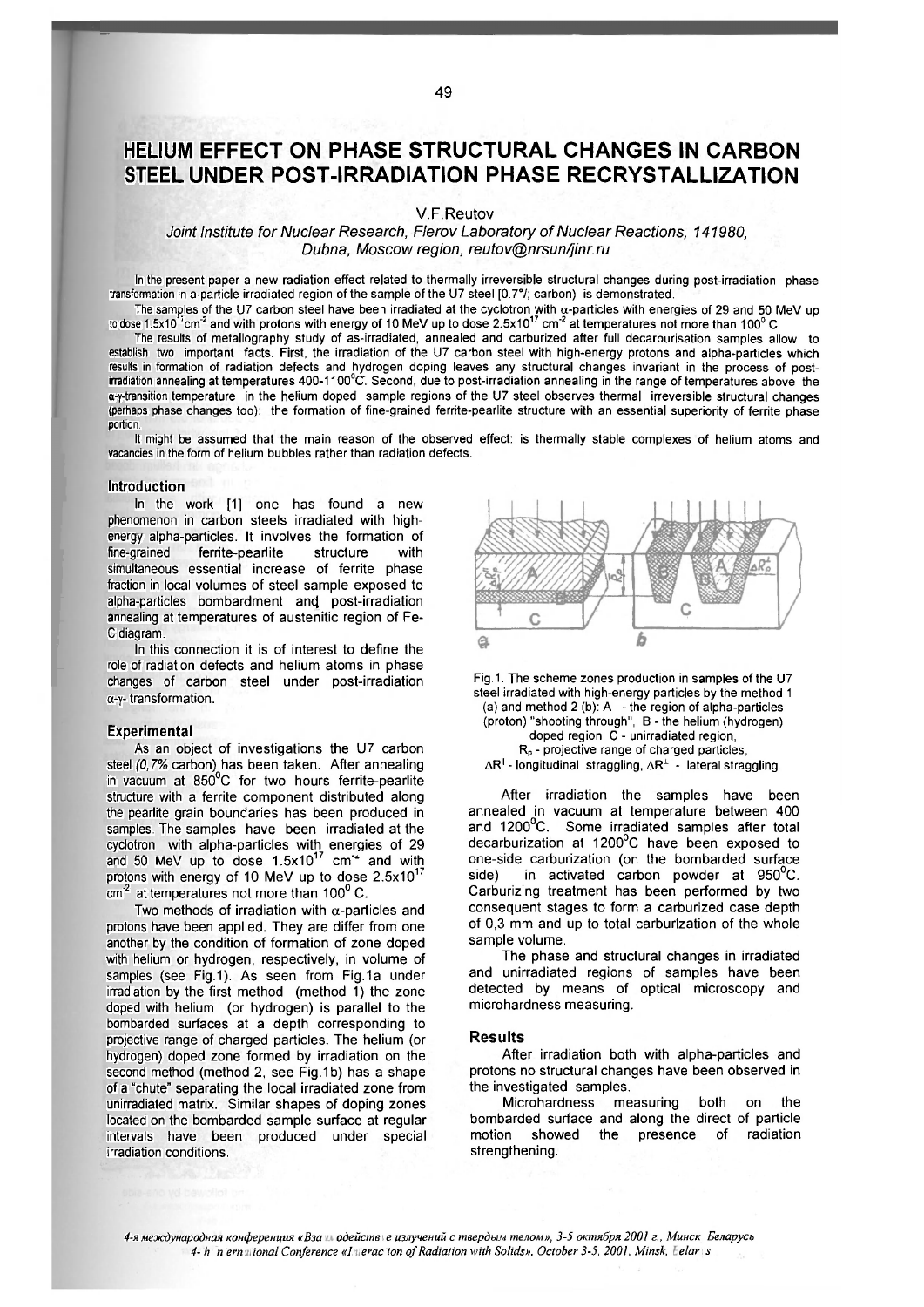# **HELIUM EFFECT ON PHASE STRUCTURAL CHANGES IN CARBON STEEL UNDER POST-IRRADIATION PHASE RECRYSTALLIZATION**

V.F.Reutov

Joint Institute for Nuclear Research, Flerov Laboratory of Nuclear Reactions, 141980. *Dubna, Moscow region, reutov@nrsun/jinr.ru* 

In the present paper a new radiation effect related to thermally irreversible structural changes during post-irradiation phase transformation in a-particle irradiated region of the sample of the U7 steel [0.7°/; carbon) is demonstrated.

The samples of the U7 carbon steel have been irradiated at the cyclotron with a-particles with energies of 29 and 50 MeV up to dose 1.5x10'′ $\rm cm^*$  and with protons with energy of 10 MeV up to dose 2.5x10'′  $\rm cm^*$  at temperatures not more than 100° C

The results of metallography study of as-irradiated, annealed and carburized after full decarburisation samples allow to establish two important facts. First, the irradiation of the U7 carbon steel with high-energy protons and alpha-particles which results in formation of radiation defects and hydrogen doping leaves any structural changes invariant in the process of postirradiation annealing at temperatures 400-1100°C. Second, due to post-irradiation annealing in the range of temperatures above the α-γ-transition temperature in the helium doped sample regions of the U7 steel observes thermal irreversible structural changes (perhaps phase changes too): the formation of fine-grained ferrite-pearlite structure with an essential superiority of ferrite phase portion

It might be assumed that the main reason of the observed effect: is thermally stable complexes of helium atoms and vacancies in the form of helium bubbles rather than radiation defects.

### **Introduction**

In the work [1] one has found a new phenomenon in carbon steels irradiated with highenergy alpha-particles. It involves the formation of fine-grained ferrite-pearlite structure with simultaneous essential increase of ferrite phase fraction in local volumes of steel sample exposed to alpha-particles bombardment and post-irradiation annealing at temperatures of austenitic region of Fe-C diagram.

In this connection it is of interest to define the role of radiation defects and helium atoms in phase changes of carbon steel under post-irradiation a-y- transformation.

#### **Experimental**

As an object of investigations the U7 carbon steel *(0,7%* carbon) has been taken. After annealing in vacuum at 850°C for two hours ferrite-pearlite structure with a ferrite component distributed along the pearlite grain boundaries has been produced in samples. The samples have been irradiated at the cyclotron with alpha-particles with energies of 29 and 50 MeV up to dose 1.5x10^' cm" and with protons with energy of 10 MeV up to dose  $2.5 \times 10^{17}$  $cm<sup>2</sup>$  at temperatures not more than 100 $^{\circ}$  C.

Two methods of irradiation with  $\alpha$ -particles and protons have been applied. They are differ from one another by the condition of formation of zone doped with helium or hydrogen, respectively, in volume of samples (see Fig.1). As seen from Fig.1a under irradiation by the first method (method 1) the zone doped with helium (or hydrogen) is parallel to the bombarded surfaces at a depth corresponding to projective range of charged particles. The helium (or hydrogen) doped zone formed by irradiation on the second method (method 2, see Fig. 1b) has a shape of a "chute" separating the local irradiated zone from unirradiated matrix. Similar shapes of doping zones located on the bombarded sample surface at regular intervals have been produced under special irradiation conditions.





After irradiation the samples have been annealed in vacuum at temperature between 400 and 1200°C. Some irradiated samples after total decarburization at 1200°C have been exposed to one-side carburization (on the bombarded surface side) in activated carbon powder at 950°C. Carburizing treatment has been performed by two consequent stages to form a carburized case depth of 0,3 mm and up to total carburization of the whole sample volume.

The phase and structural changes in irradiated and unirradiated regions of samples have been detected by means of optical microscopy and microhardness measuring.

#### **Results**

After irradiation both with alpha-particles and protons no structural changes have been observed in the investigated samples.

Microhardness measuring both on the bombarded surface and along the direct of particle motion showed the presence of radiation strengthening.

*4-Я международная конференция «Взаимодействие излучений с твердым телом», 3-5 октября 2001 г., Минск. Беларусь 4-ih Jniernolional Conference «Imeraciion of Radiation with Solids», October 3-5, 2001, Minsk, lielariis*